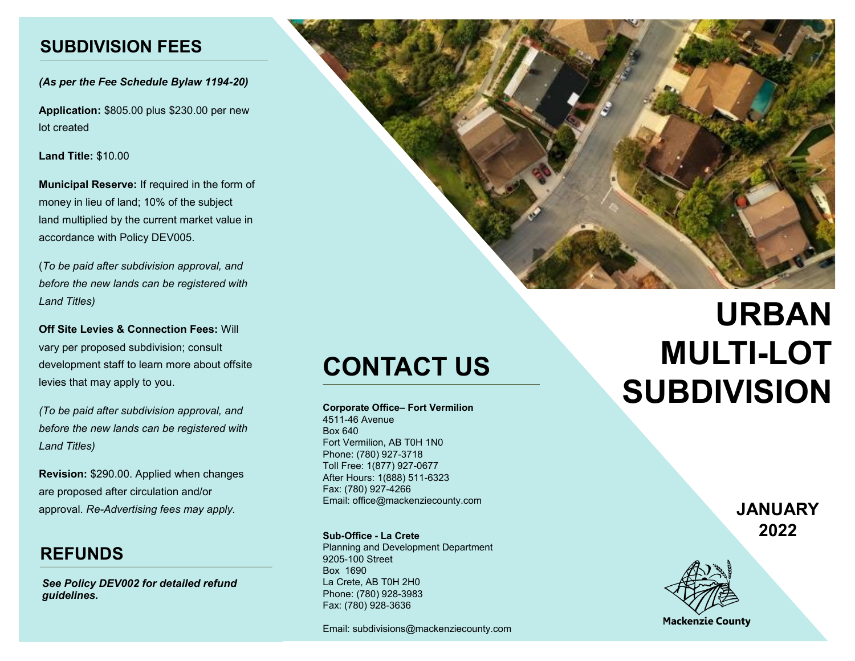#### **SUBDIVISION FEES**

*(As per the Fee Schedule Bylaw 1194-20)*

**Application:** \$805.00 plus \$230.00 per new lot created

**Land Title:** \$10.00

**Municipal Reserve:** If required in the form of money in lieu of land; 10% of the subject land multiplied by the current market value in accordance with Policy DEV005.

(*To be paid after subdivision approval, and before the new lands can be registered with Land Titles)* 

**Off Site Levies & Connection Fees:** Will vary per proposed subdivision; consult development staff to learn more about offsite levies that may apply to you.

*(To be paid after subdivision approval, and before the new lands can be registered with Land Titles)*

**Revision:** \$290.00. Applied when changes are proposed after circulation and/or approval. *Re-Advertising fees may apply.* 

### **REFUNDS**

*See Policy DEV002 for detailed refund guidelines.*



## **CONTACT US**

**Corporate Office– Fort Vermilion**

4511-46 Avenue Box 640 Fort Vermilion, AB T0H 1N0 Phone: (780) 927-3718 Toll Free: 1(877) 927-0677 After Hours: 1(888) 511-6323 Fax: (780) 927-4266 Email: office@mackenziecounty.com

**Sub-Office - La Crete** Planning and Development Department 9205-100 Street Box 1690 La Crete, AB T0H 2H0 Phone: (780) 928-3983 Fax: (780) 928-3636

Email: subdivisions@mackenziecounty.com

# **URBAN MULTI-LOT SUBDIVISION**

**JANUARY 2022**



**Mackenzie County**